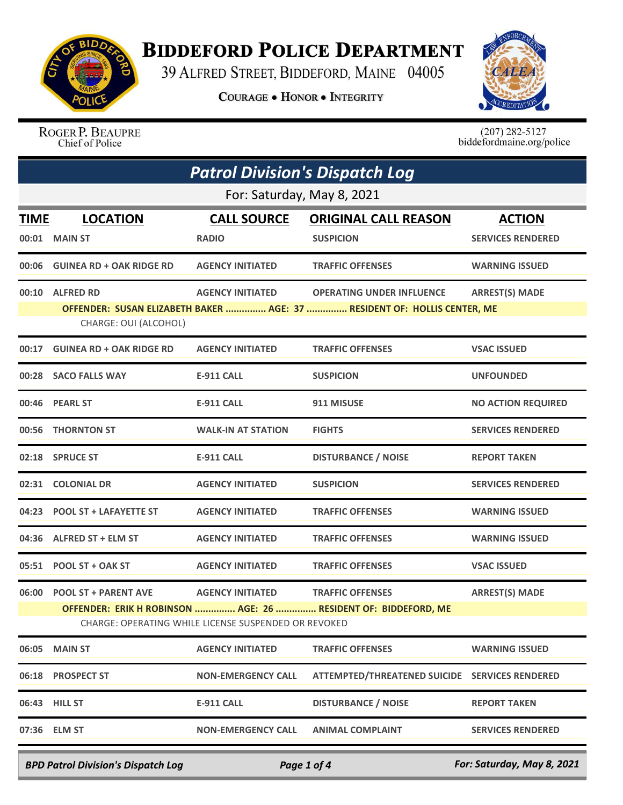

## **BIDDEFORD POLICE DEPARTMENT**

39 ALFRED STREET, BIDDEFORD, MAINE 04005

**COURAGE . HONOR . INTEGRITY** 



ROGER P. BEAUPRE Chief of Police

 $(207)$  282-5127<br>biddefordmaine.org/police

| <b>Patrol Division's Dispatch Log</b> |                                                                                                                                                                                                                                     |                                    |                                                                                                              |                                           |  |
|---------------------------------------|-------------------------------------------------------------------------------------------------------------------------------------------------------------------------------------------------------------------------------------|------------------------------------|--------------------------------------------------------------------------------------------------------------|-------------------------------------------|--|
| For: Saturday, May 8, 2021            |                                                                                                                                                                                                                                     |                                    |                                                                                                              |                                           |  |
| <b>TIME</b>                           | <b>LOCATION</b><br>00:01 MAIN ST                                                                                                                                                                                                    | <b>CALL SOURCE</b><br><b>RADIO</b> | <b>ORIGINAL CALL REASON</b><br><b>SUSPICION</b>                                                              | <b>ACTION</b><br><b>SERVICES RENDERED</b> |  |
|                                       | 00:06 GUINEA RD + OAK RIDGE RD                                                                                                                                                                                                      | <b>AGENCY INITIATED</b>            | <b>TRAFFIC OFFENSES</b>                                                                                      | <b>WARNING ISSUED</b>                     |  |
|                                       | 00:10 ALFRED RD<br>CHARGE: OUI (ALCOHOL)                                                                                                                                                                                            | <b>AGENCY INITIATED</b>            | <b>OPERATING UNDER INFLUENCE</b><br>OFFENDER: SUSAN ELIZABETH BAKER  AGE: 37  RESIDENT OF: HOLLIS CENTER, ME | <b>ARREST(S) MADE</b>                     |  |
|                                       | 00:17 GUINEA RD + OAK RIDGE RD                                                                                                                                                                                                      | <b>AGENCY INITIATED</b>            | <b>TRAFFIC OFFENSES</b>                                                                                      | <b>VSAC ISSUED</b>                        |  |
|                                       | 00:28 SACO FALLS WAY                                                                                                                                                                                                                | <b>E-911 CALL</b>                  | <b>SUSPICION</b>                                                                                             | <b>UNFOUNDED</b>                          |  |
|                                       | 00:46 PEARL ST                                                                                                                                                                                                                      | <b>E-911 CALL</b>                  | 911 MISUSE                                                                                                   | <b>NO ACTION REQUIRED</b>                 |  |
|                                       | 00:56 THORNTON ST                                                                                                                                                                                                                   | <b>WALK-IN AT STATION</b>          | <b>FIGHTS</b>                                                                                                | <b>SERVICES RENDERED</b>                  |  |
|                                       | 02:18 SPRUCE ST                                                                                                                                                                                                                     | E-911 CALL                         | <b>DISTURBANCE / NOISE</b>                                                                                   | <b>REPORT TAKEN</b>                       |  |
|                                       | 02:31 COLONIAL DR                                                                                                                                                                                                                   | <b>AGENCY INITIATED</b>            | <b>SUSPICION</b>                                                                                             | <b>SERVICES RENDERED</b>                  |  |
|                                       | 04:23 POOL ST + LAFAYETTE ST                                                                                                                                                                                                        | <b>AGENCY INITIATED</b>            | <b>TRAFFIC OFFENSES</b>                                                                                      | <b>WARNING ISSUED</b>                     |  |
|                                       | 04:36 ALFRED ST + ELM ST                                                                                                                                                                                                            | <b>AGENCY INITIATED</b>            | <b>TRAFFIC OFFENSES</b>                                                                                      | <b>WARNING ISSUED</b>                     |  |
|                                       | 05:51 POOL ST + OAK ST                                                                                                                                                                                                              | <b>AGENCY INITIATED</b>            | <b>TRAFFIC OFFENSES</b>                                                                                      | <b>VSAC ISSUED</b>                        |  |
|                                       | <b>ARREST(S) MADE</b><br>06:00 POOL ST + PARENT AVE<br><b>AGENCY INITIATED</b><br><b>TRAFFIC OFFENSES</b><br>OFFENDER: ERIK H ROBINSON  AGE: 26  RESIDENT OF: BIDDEFORD, ME<br>CHARGE: OPERATING WHILE LICENSE SUSPENDED OR REVOKED |                                    |                                                                                                              |                                           |  |
| 06:05                                 | <b>MAIN ST</b>                                                                                                                                                                                                                      | <b>AGENCY INITIATED</b>            | <b>TRAFFIC OFFENSES</b>                                                                                      | <b>WARNING ISSUED</b>                     |  |
|                                       | 06:18 PROSPECT ST                                                                                                                                                                                                                   | <b>NON-EMERGENCY CALL</b>          | ATTEMPTED/THREATENED SUICIDE SERVICES RENDERED                                                               |                                           |  |
|                                       | 06:43 HILL ST                                                                                                                                                                                                                       | E-911 CALL                         | <b>DISTURBANCE / NOISE</b>                                                                                   | <b>REPORT TAKEN</b>                       |  |
|                                       | 07:36 ELM ST                                                                                                                                                                                                                        | <b>NON-EMERGENCY CALL</b>          | <b>ANIMAL COMPLAINT</b>                                                                                      | <b>SERVICES RENDERED</b>                  |  |

*BPD Patrol Division's Dispatch Log Page 1 of 4 For: Saturday, May 8, 2021*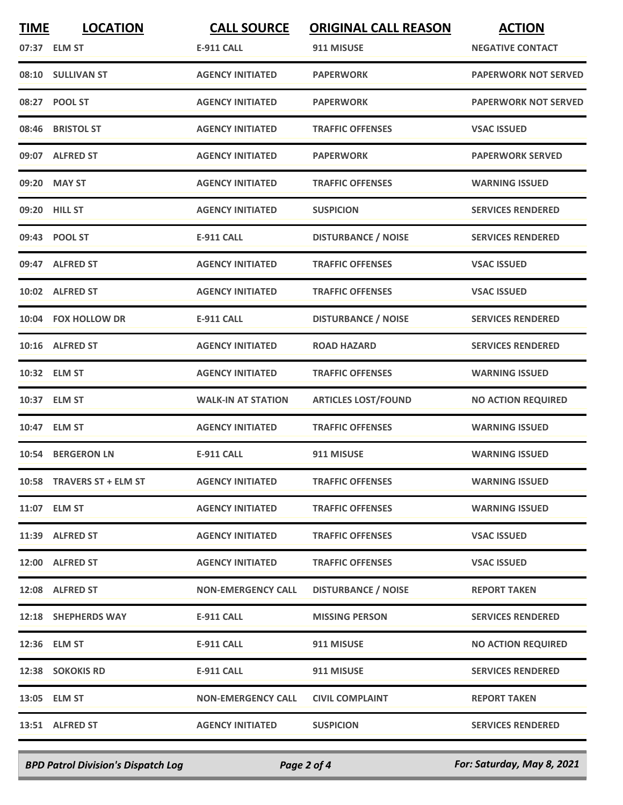| <b>TIME</b> | <b>LOCATION</b>           | <b>CALL SOURCE</b>        | <b>ORIGINAL CALL REASON</b> | <b>ACTION</b>               |
|-------------|---------------------------|---------------------------|-----------------------------|-----------------------------|
|             | 07:37 ELM ST              | <b>E-911 CALL</b>         | 911 MISUSE                  | <b>NEGATIVE CONTACT</b>     |
|             | 08:10 SULLIVAN ST         | <b>AGENCY INITIATED</b>   | <b>PAPERWORK</b>            | <b>PAPERWORK NOT SERVED</b> |
|             | 08:27 POOL ST             | <b>AGENCY INITIATED</b>   | <b>PAPERWORK</b>            | <b>PAPERWORK NOT SERVED</b> |
|             | 08:46 BRISTOL ST          | <b>AGENCY INITIATED</b>   | <b>TRAFFIC OFFENSES</b>     | <b>VSAC ISSUED</b>          |
|             | 09:07 ALFRED ST           | <b>AGENCY INITIATED</b>   | <b>PAPERWORK</b>            | <b>PAPERWORK SERVED</b>     |
|             | 09:20 MAY ST              | <b>AGENCY INITIATED</b>   | <b>TRAFFIC OFFENSES</b>     | <b>WARNING ISSUED</b>       |
|             | 09:20 HILL ST             | <b>AGENCY INITIATED</b>   | <b>SUSPICION</b>            | <b>SERVICES RENDERED</b>    |
|             | 09:43 POOL ST             | <b>E-911 CALL</b>         | <b>DISTURBANCE / NOISE</b>  | <b>SERVICES RENDERED</b>    |
|             | 09:47 ALFRED ST           | <b>AGENCY INITIATED</b>   | <b>TRAFFIC OFFENSES</b>     | <b>VSAC ISSUED</b>          |
|             | 10:02 ALFRED ST           | <b>AGENCY INITIATED</b>   | <b>TRAFFIC OFFENSES</b>     | <b>VSAC ISSUED</b>          |
|             | 10:04 FOX HOLLOW DR       | <b>E-911 CALL</b>         | <b>DISTURBANCE / NOISE</b>  | <b>SERVICES RENDERED</b>    |
|             | 10:16 ALFRED ST           | <b>AGENCY INITIATED</b>   | <b>ROAD HAZARD</b>          | <b>SERVICES RENDERED</b>    |
|             | 10:32 ELM ST              | <b>AGENCY INITIATED</b>   | <b>TRAFFIC OFFENSES</b>     | <b>WARNING ISSUED</b>       |
|             | 10:37 ELM ST              | <b>WALK-IN AT STATION</b> | <b>ARTICLES LOST/FOUND</b>  | <b>NO ACTION REQUIRED</b>   |
|             | 10:47 ELM ST              | <b>AGENCY INITIATED</b>   | <b>TRAFFIC OFFENSES</b>     | <b>WARNING ISSUED</b>       |
|             | 10:54 BERGERON LN         | <b>E-911 CALL</b>         | 911 MISUSE                  | <b>WARNING ISSUED</b>       |
|             | 10:58 TRAVERS ST + ELM ST | <b>AGENCY INITIATED</b>   | <b>TRAFFIC OFFENSES</b>     | <b>WARNING ISSUED</b>       |
|             | 11:07 ELM ST              | <b>AGENCY INITIATED</b>   | <b>TRAFFIC OFFENSES</b>     | <b>WARNING ISSUED</b>       |
|             | 11:39 ALFRED ST           | <b>AGENCY INITIATED</b>   | <b>TRAFFIC OFFENSES</b>     | <b>VSAC ISSUED</b>          |
|             | 12:00 ALFRED ST           | <b>AGENCY INITIATED</b>   | <b>TRAFFIC OFFENSES</b>     | <b>VSAC ISSUED</b>          |
|             | 12:08 ALFRED ST           | <b>NON-EMERGENCY CALL</b> | <b>DISTURBANCE / NOISE</b>  | <b>REPORT TAKEN</b>         |
|             | 12:18 SHEPHERDS WAY       | E-911 CALL                | <b>MISSING PERSON</b>       | <b>SERVICES RENDERED</b>    |
|             | 12:36 ELM ST              | E-911 CALL                | 911 MISUSE                  | <b>NO ACTION REQUIRED</b>   |
|             | 12:38 SOKOKIS RD          | E-911 CALL                | 911 MISUSE                  | <b>SERVICES RENDERED</b>    |
|             | 13:05 ELM ST              | <b>NON-EMERGENCY CALL</b> | <b>CIVIL COMPLAINT</b>      | <b>REPORT TAKEN</b>         |
|             | 13:51 ALFRED ST           | <b>AGENCY INITIATED</b>   | <b>SUSPICION</b>            | <b>SERVICES RENDERED</b>    |
|             |                           |                           |                             |                             |

*BPD Patrol Division's Dispatch Log Page 2 of 4 For: Saturday, May 8, 2021*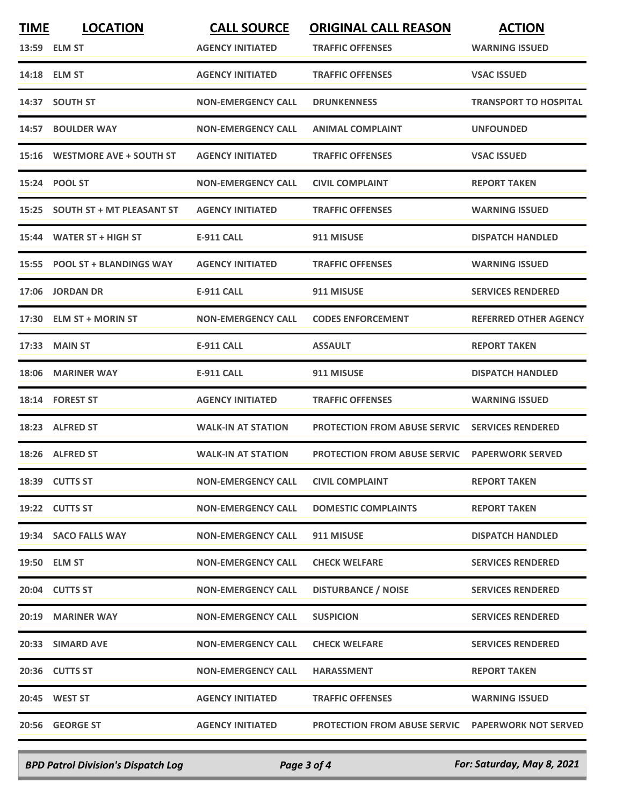| <b>TIME</b> | <b>LOCATION</b>                 | <b>CALL SOURCE</b>        | <b>ORIGINAL CALL REASON</b>                              | <b>ACTION</b>                |
|-------------|---------------------------------|---------------------------|----------------------------------------------------------|------------------------------|
|             | 13:59 ELM ST                    | <b>AGENCY INITIATED</b>   | <b>TRAFFIC OFFENSES</b>                                  | <b>WARNING ISSUED</b>        |
|             | 14:18 ELM ST                    | <b>AGENCY INITIATED</b>   | <b>TRAFFIC OFFENSES</b>                                  | <b>VSAC ISSUED</b>           |
|             | 14:37 SOUTH ST                  | <b>NON-EMERGENCY CALL</b> | <b>DRUNKENNESS</b>                                       | <b>TRANSPORT TO HOSPITAL</b> |
|             | 14:57 BOULDER WAY               | <b>NON-EMERGENCY CALL</b> | <b>ANIMAL COMPLAINT</b>                                  | <b>UNFOUNDED</b>             |
|             | 15:16 WESTMORE AVE + SOUTH ST   | <b>AGENCY INITIATED</b>   | <b>TRAFFIC OFFENSES</b>                                  | <b>VSAC ISSUED</b>           |
|             | 15:24 POOL ST                   | <b>NON-EMERGENCY CALL</b> | <b>CIVIL COMPLAINT</b>                                   | <b>REPORT TAKEN</b>          |
|             | 15:25 SOUTH ST + MT PLEASANT ST | <b>AGENCY INITIATED</b>   | <b>TRAFFIC OFFENSES</b>                                  | <b>WARNING ISSUED</b>        |
|             | 15:44 WATER ST + HIGH ST        | <b>E-911 CALL</b>         | 911 MISUSE                                               | <b>DISPATCH HANDLED</b>      |
| 15:55       | <b>POOL ST + BLANDINGS WAY</b>  | <b>AGENCY INITIATED</b>   | <b>TRAFFIC OFFENSES</b>                                  | <b>WARNING ISSUED</b>        |
|             | 17:06 JORDAN DR                 | <b>E-911 CALL</b>         | 911 MISUSE                                               | <b>SERVICES RENDERED</b>     |
|             | 17:30 ELM ST + MORIN ST         | <b>NON-EMERGENCY CALL</b> | <b>CODES ENFORCEMENT</b>                                 | <b>REFERRED OTHER AGENCY</b> |
| 17:33       | <b>MAIN ST</b>                  | <b>E-911 CALL</b>         | <b>ASSAULT</b>                                           | <b>REPORT TAKEN</b>          |
| 18:06       | <b>MARINER WAY</b>              | <b>E-911 CALL</b>         | 911 MISUSE                                               | <b>DISPATCH HANDLED</b>      |
|             | 18:14 FOREST ST                 | <b>AGENCY INITIATED</b>   | <b>TRAFFIC OFFENSES</b>                                  | <b>WARNING ISSUED</b>        |
|             | 18:23 ALFRED ST                 | <b>WALK-IN AT STATION</b> | <b>PROTECTION FROM ABUSE SERVIC</b>                      | <b>SERVICES RENDERED</b>     |
|             | 18:26 ALFRED ST                 | <b>WALK-IN AT STATION</b> | <b>PROTECTION FROM ABUSE SERVIC</b>                      | <b>PAPERWORK SERVED</b>      |
|             | 18:39 CUTTS ST                  | <b>NON-EMERGENCY CALL</b> | <b>CIVIL COMPLAINT</b>                                   | <b>REPORT TAKEN</b>          |
|             | 19:22 CUTTS ST                  | <b>NON-EMERGENCY CALL</b> | <b>DOMESTIC COMPLAINTS</b>                               | <b>REPORT TAKEN</b>          |
|             | 19:34 SACO FALLS WAY            | <b>NON-EMERGENCY CALL</b> | 911 MISUSE                                               | <b>DISPATCH HANDLED</b>      |
|             | 19:50 ELM ST                    | <b>NON-EMERGENCY CALL</b> | <b>CHECK WELFARE</b>                                     | <b>SERVICES RENDERED</b>     |
|             | 20:04 CUTTS ST                  | <b>NON-EMERGENCY CALL</b> | <b>DISTURBANCE / NOISE</b>                               | <b>SERVICES RENDERED</b>     |
|             | 20:19 MARINER WAY               | <b>NON-EMERGENCY CALL</b> | <b>SUSPICION</b>                                         | <b>SERVICES RENDERED</b>     |
|             | 20:33 SIMARD AVE                | <b>NON-EMERGENCY CALL</b> | <b>CHECK WELFARE</b>                                     | <b>SERVICES RENDERED</b>     |
|             | 20:36 CUTTS ST                  | <b>NON-EMERGENCY CALL</b> | <b>HARASSMENT</b>                                        | <b>REPORT TAKEN</b>          |
|             | 20:45 WEST ST                   | <b>AGENCY INITIATED</b>   | <b>TRAFFIC OFFENSES</b>                                  | <b>WARNING ISSUED</b>        |
|             | 20:56 GEORGE ST                 | <b>AGENCY INITIATED</b>   | <b>PROTECTION FROM ABUSE SERVIC PAPERWORK NOT SERVED</b> |                              |

*BPD Patrol Division's Dispatch Log Page 3 of 4 For: Saturday, May 8, 2021*